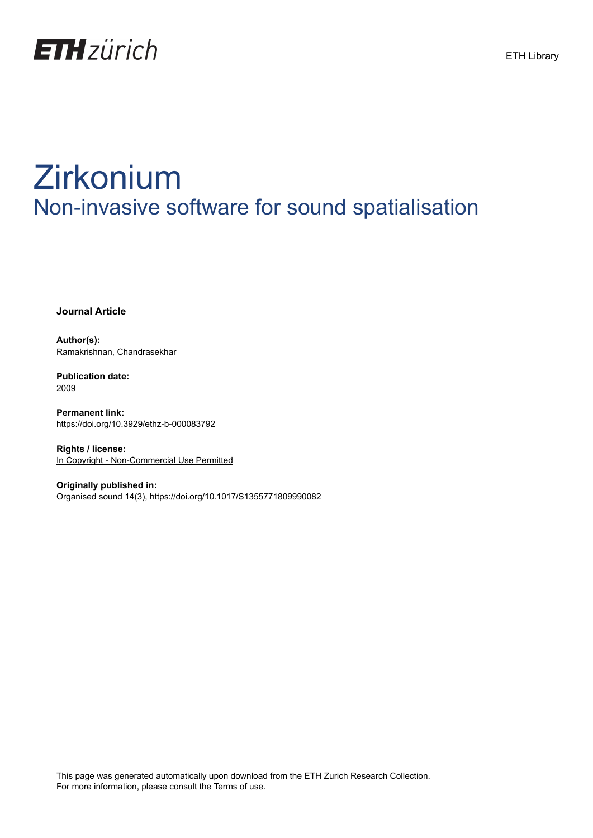



# **Zirkonium** Non-invasive software for sound spatialisation

**Journal Article**

**Author(s):** Ramakrishnan, Chandrasekhar

**Publication date:** 2009

**Permanent link:** <https://doi.org/10.3929/ethz-b-000083792>

**Rights / license:** [In Copyright - Non-Commercial Use Permitted](http://rightsstatements.org/page/InC-NC/1.0/)

**Originally published in:** Organised sound 14(3),<https://doi.org/10.1017/S1355771809990082>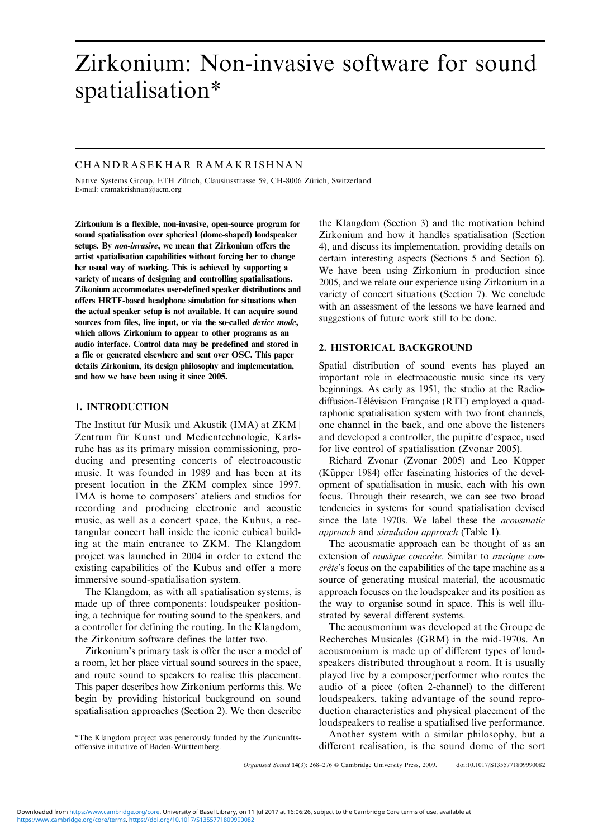# Zirkonium: Non-invasive software for sound spatialisation\*

# CHANDRASEKHAR RAMAKRISHNAN

Native Systems Group, ETH Zürich, Clausiusstrasse 59, CH-8006 Zürich, Switzerland E-mail: cramakrishnan@acm.org

Zirkonium is a flexible, non-invasive, open-source program for sound spatialisation over spherical (dome-shaped) loudspeaker setups. By non-invasive, we mean that Zirkonium offers the artist spatialisation capabilities without forcing her to change her usual way of working. This is achieved by supporting a variety of means of designing and controlling spatialisations. Zikonium accommodates user-defined speaker distributions and offers HRTF-based headphone simulation for situations when the actual speaker setup is not available. It can acquire sound sources from files, live input, or via the so-called *device mode*, which allows Zirkonium to appear to other programs as an audio interface. Control data may be predefined and stored in a file or generated elsewhere and sent over OSC. This paper details Zirkonium, its design philosophy and implementation, and how we have been using it since 2005.

#### 1. INTRODUCTION

The Institut für Musik und Akustik (IMA) at ZKM | Zentrum für Kunst und Medientechnologie, Karlsruhe has as its primary mission commissioning, producing and presenting concerts of electroacoustic music. It was founded in 1989 and has been at its present location in the ZKM complex since 1997. IMA is home to composers' ateliers and studios for recording and producing electronic and acoustic music, as well as a concert space, the Kubus, a rectangular concert hall inside the iconic cubical building at the main entrance to ZKM. The Klangdom project was launched in 2004 in order to extend the existing capabilities of the Kubus and offer a more immersive sound-spatialisation system.

The Klangdom, as with all spatialisation systems, is made up of three components: loudspeaker positioning, a technique for routing sound to the speakers, and a controller for defining the routing. In the Klangdom, the Zirkonium software defines the latter two.

Zirkonium's primary task is offer the user a model of a room, let her place virtual sound sources in the space, and route sound to speakers to realise this placement. This paper describes how Zirkonium performs this. We begin by providing historical background on sound spatialisation approaches (Section 2). We then describe

\*The Klangdom project was generously funded by the Zunkunftsoffensive initiative of Baden-Württemberg.

the Klangdom (Section 3) and the motivation behind Zirkonium and how it handles spatialisation (Section 4), and discuss its implementation, providing details on certain interesting aspects (Sections 5 and Section 6). We have been using Zirkonium in production since 2005, and we relate our experience using Zirkonium in a variety of concert situations (Section 7). We conclude with an assessment of the lessons we have learned and suggestions of future work still to be done.

#### 2. HISTORICAL BACKGROUND

Spatial distribution of sound events has played an important role in electroacoustic music since its very beginnings. As early as 1951, the studio at the Radiodiffusion-Télévision Française (RTF) employed a quadraphonic spatialisation system with two front channels, one channel in the back, and one above the listeners and developed a controller, the pupitre d'espace, used for live control of spatialisation (Zvonar 2005).

Richard Zvonar (Zvonar 2005) and Leo Küpper (Küpper 1984) offer fascinating histories of the development of spatialisation in music, each with his own focus. Through their research, we can see two broad tendencies in systems for sound spatialisation devised since the late 1970s. We label these the acousmatic approach and simulation approach (Table 1).

The acousmatic approach can be thought of as an extension of musique concrète. Similar to musique concrète's focus on the capabilities of the tape machine as a source of generating musical material, the acousmatic approach focuses on the loudspeaker and its position as the way to organise sound in space. This is well illustrated by several different systems.

The acousmonium was developed at the Groupe de Recherches Musicales (GRM) in the mid-1970s. An acousmonium is made up of different types of loudspeakers distributed throughout a room. It is usually played live by a composer/performer who routes the audio of a piece (often 2-channel) to the different loudspeakers, taking advantage of the sound reproduction characteristics and physical placement of the loudspeakers to realise a spatialised live performance.

Another system with a similar philosophy, but a different realisation, is the sound dome of the sort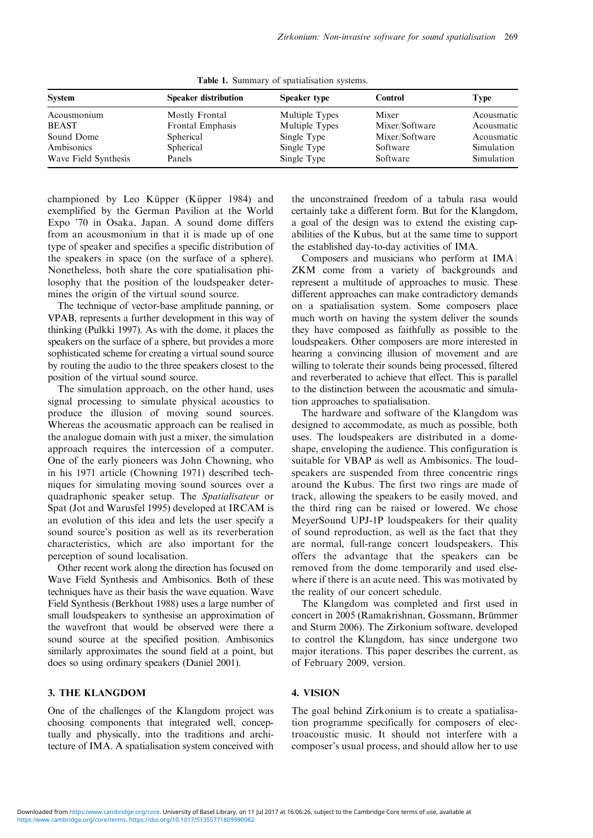Table 1. Summary of spatialisation systems.

| <b>System</b>        | <b>Speaker distribution</b> | Speaker type   | Control        | Type       |
|----------------------|-----------------------------|----------------|----------------|------------|
| Acousmonium          | Mostly Frontal              | Multiple Types | Mixer          | Acousmatic |
| <b>BEAST</b>         | Frontal Emphasis            | Multiple Types | Mixer/Software | Acousmatic |
| Sound Dome           | Spherical                   | Single Type    | Mixer/Software | Acousmatic |
| Ambisonics           | Spherical                   | Single Type    | Software       | Simulation |
| Wave Field Synthesis | Panels                      | Single Type    | Software       | Simulation |

championed by Leo Küpper (Küpper 1984) and exemplified by the German Pavilion at the World Expo '70 in Osaka, Japan. A sound dome differs from an acousmonium in that it is made up of one type of speaker and specifies a specific distribution of the speakers in space (on the surface of a sphere). Nonetheless, both share the core spatialisation philosophy that the position of the loudspeaker determines the origin of the virtual sound source.

The technique of vector-base amplitude panning, or VPAB, represents a further development in this way of thinking (Pulkki 1997). As with the dome, it places the speakers on the surface of a sphere, but provides a more sophisticated scheme for creating a virtual sound source by routing the audio to the three speakers closest to the position of the virtual sound source.

The simulation approach, on the other hand, uses signal processing to simulate physical acoustics to produce the illusion of moving sound sources. Whereas the acousmatic approach can be realised in the analogue domain with just a mixer, the simulation approach requires the intercession of a computer. One of the early pioneers was John Chowning, who in his 1971 article (Chowning 1971) described techniques for simulating moving sound sources over a quadraphonic speaker setup. The Spatialisateur or Spat (Jot and Warusfel 1995) developed at IRCAM is an evolution of this idea and lets the user specify a sound source's position as well as its reverberation characteristics, which are also important for the perception of sound localisation.

Other recent work along the direction has focused on Wave Field Synthesis and Ambisonics. Both of these techniques have as their basis the wave equation. Wave Field Synthesis (Berkhout 1988) uses a large number of small loudspeakers to synthesise an approximation of the wavefront that would be observed were there a sound source at the specified position. Ambisonics similarly approximates the sound field at a point, but does so using ordinary speakers (Daniel 2001).

# 3. THE KLANGDOM

One of the challenges of the Klangdom project was choosing components that integrated well, conceptually and physically, into the traditions and architecture of IMA. A spatialisation system conceived with the unconstrained freedom of a tabula rasa would certainly take a different form. But for the Klangdom, a goal of the design was to extend the existing capabilities of the Kubus, but at the same time to support the established day-to-day activities of IMA.

Composers and musicians who perform at IMA | ZKM come from a variety of backgrounds and represent a multitude of approaches to music. These different approaches can make contradictory demands on a spatialisation system. Some composers place much worth on having the system deliver the sounds they have composed as faithfully as possible to the loudspeakers. Other composers are more interested in hearing a convincing illusion of movement and are willing to tolerate their sounds being processed, filtered and reverberated to achieve that effect. This is parallel to the distinction between the acousmatic and simulation approaches to spatialisation.

The hardware and software of the Klangdom was designed to accommodate, as much as possible, both uses. The loudspeakers are distributed in a domeshape, enveloping the audience. This configuration is suitable for VBAP as well as Ambisonics. The loudspeakers are suspended from three concentric rings around the Kubus. The first two rings are made of track, allowing the speakers to be easily moved, and the third ring can be raised or lowered. We chose MeyerSound UPJ-1P loudspeakers for their quality of sound reproduction, as well as the fact that they are normal, full-range concert loudspeakers. This offers the advantage that the speakers can be removed from the dome temporarily and used elsewhere if there is an acute need. This was motivated by the reality of our concert schedule.

The Klangdom was completed and first used in concert in 2005 (Ramakrishnan, Gossmann, Brümmer and Sturm 2006). The Zirkonium software, developed to control the Klangdom, has since undergone two major iterations. This paper describes the current, as of February 2009, version.

# 4. VISION

The goal behind Zirkonium is to create a spatialisation programme specifically for composers of electroacoustic music. It should not interfere with a composer's usual process, and should allow her to use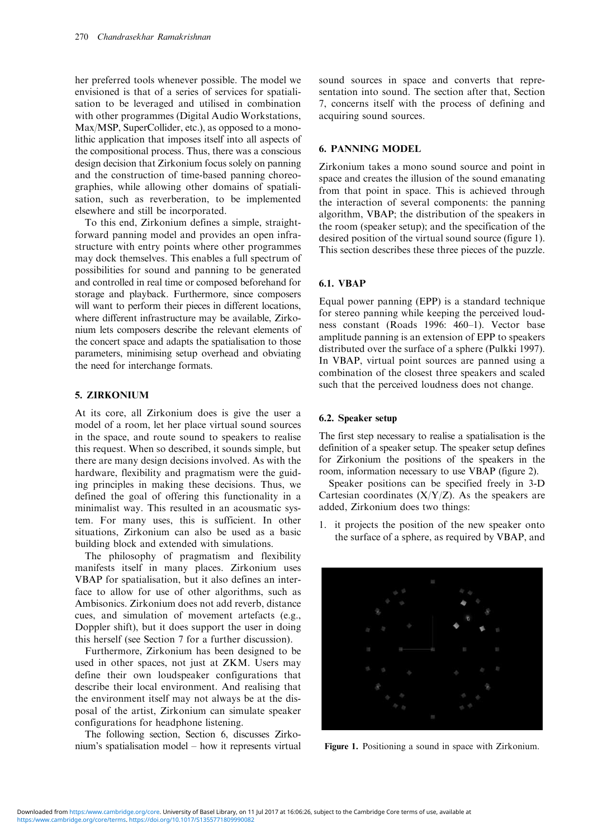her preferred tools whenever possible. The model we envisioned is that of a series of services for spatialisation to be leveraged and utilised in combination with other programmes (Digital Audio Workstations, Max/MSP, SuperCollider, etc.), as opposed to a monolithic application that imposes itself into all aspects of the compositional process. Thus, there was a conscious design decision that Zirkonium focus solely on panning and the construction of time-based panning choreographies, while allowing other domains of spatialisation, such as reverberation, to be implemented elsewhere and still be incorporated.

To this end, Zirkonium defines a simple, straightforward panning model and provides an open infrastructure with entry points where other programmes may dock themselves. This enables a full spectrum of possibilities for sound and panning to be generated and controlled in real time or composed beforehand for storage and playback. Furthermore, since composers will want to perform their pieces in different locations, where different infrastructure may be available, Zirkonium lets composers describe the relevant elements of the concert space and adapts the spatialisation to those parameters, minimising setup overhead and obviating the need for interchange formats.

## 5. ZIRKONIUM

At its core, all Zirkonium does is give the user a model of a room, let her place virtual sound sources in the space, and route sound to speakers to realise this request. When so described, it sounds simple, but there are many design decisions involved. As with the hardware, flexibility and pragmatism were the guiding principles in making these decisions. Thus, we defined the goal of offering this functionality in a minimalist way. This resulted in an acousmatic system. For many uses, this is sufficient. In other situations, Zirkonium can also be used as a basic building block and extended with simulations.

The philosophy of pragmatism and flexibility manifests itself in many places. Zirkonium uses VBAP for spatialisation, but it also defines an interface to allow for use of other algorithms, such as Ambisonics. Zirkonium does not add reverb, distance cues, and simulation of movement artefacts (e.g., Doppler shift), but it does support the user in doing this herself (see Section 7 for a further discussion).

Furthermore, Zirkonium has been designed to be used in other spaces, not just at ZKM. Users may define their own loudspeaker configurations that describe their local environment. And realising that the environment itself may not always be at the disposal of the artist, Zirkonium can simulate speaker configurations for headphone listening.

The following section, Section 6, discusses Zirkonium's spatialisation model – how it represents virtual sound sources in space and converts that representation into sound. The section after that, Section 7, concerns itself with the process of defining and acquiring sound sources.

# 6. PANNING MODEL

Zirkonium takes a mono sound source and point in space and creates the illusion of the sound emanating from that point in space. This is achieved through the interaction of several components: the panning algorithm, VBAP; the distribution of the speakers in the room (speaker setup); and the specification of the desired position of the virtual sound source (figure 1). This section describes these three pieces of the puzzle.

# 6.1. VBAP

Equal power panning (EPP) is a standard technique for stereo panning while keeping the perceived loudness constant (Roads 1996: 460–1). Vector base amplitude panning is an extension of EPP to speakers distributed over the surface of a sphere (Pulkki 1997). In VBAP, virtual point sources are panned using a combination of the closest three speakers and scaled such that the perceived loudness does not change.

#### 6.2. Speaker setup

The first step necessary to realise a spatialisation is the definition of a speaker setup. The speaker setup defines for Zirkonium the positions of the speakers in the room, information necessary to use VBAP (figure 2).

Speaker positions can be specified freely in 3-D Cartesian coordinates  $(X/Y/Z)$ . As the speakers are added, Zirkonium does two things:

1. it projects the position of the new speaker onto the surface of a sphere, as required by VBAP, and



Figure 1. Positioning a sound in space with Zirkonium.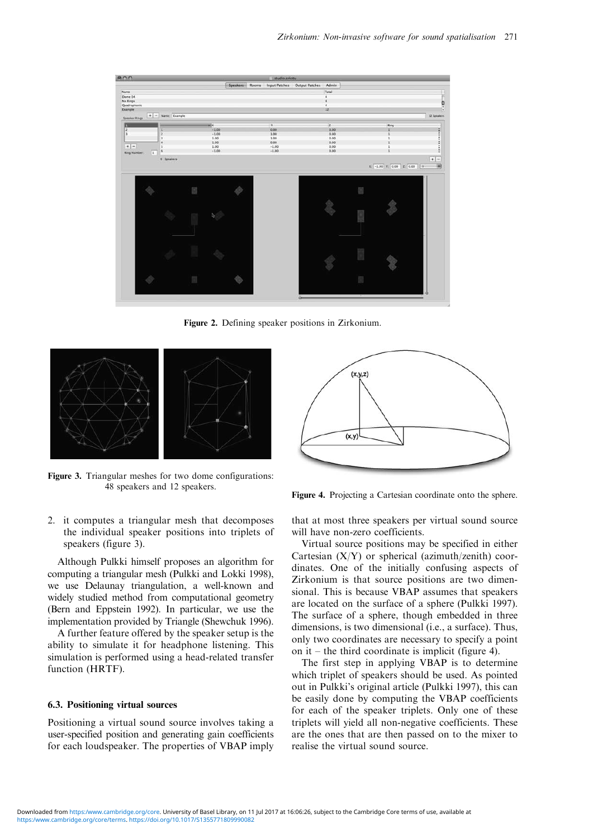

Figure 2. Defining speaker positions in Zirkonium.



Figure 3. Triangular meshes for two dome configurations: 48 speakers and 12 speakers.

2. it computes a triangular mesh that decomposes the individual speaker positions into triplets of speakers (figure 3).

Although Pulkki himself proposes an algorithm for computing a triangular mesh (Pulkki and Lokki 1998), we use Delaunay triangulation, a well-known and widely studied method from computational geometry (Bern and Eppstein 1992). In particular, we use the implementation provided by Triangle (Shewchuk 1996).

A further feature offered by the speaker setup is the ability to simulate it for headphone listening. This simulation is performed using a head-related transfer function (HRTF).

# 6.3. Positioning virtual sources

Positioning a virtual sound source involves taking a user-specified position and generating gain coefficients for each loudspeaker. The properties of VBAP imply



Figure 4. Projecting a Cartesian coordinate onto the sphere.

that at most three speakers per virtual sound source will have non-zero coefficients.

Virtual source positions may be specified in either Cartesian  $(X/Y)$  or spherical (azimuth/zenith) coordinates. One of the initially confusing aspects of Zirkonium is that source positions are two dimensional. This is because VBAP assumes that speakers are located on the surface of a sphere (Pulkki 1997). The surface of a sphere, though embedded in three dimensions, is two dimensional (i.e., a surface). Thus, only two coordinates are necessary to specify a point on it – the third coordinate is implicit (figure 4).

The first step in applying VBAP is to determine which triplet of speakers should be used. As pointed out in Pulkki's original article (Pulkki 1997), this can be easily done by computing the VBAP coefficients for each of the speaker triplets. Only one of these triplets will yield all non-negative coefficients. These are the ones that are then passed on to the mixer to realise the virtual sound source.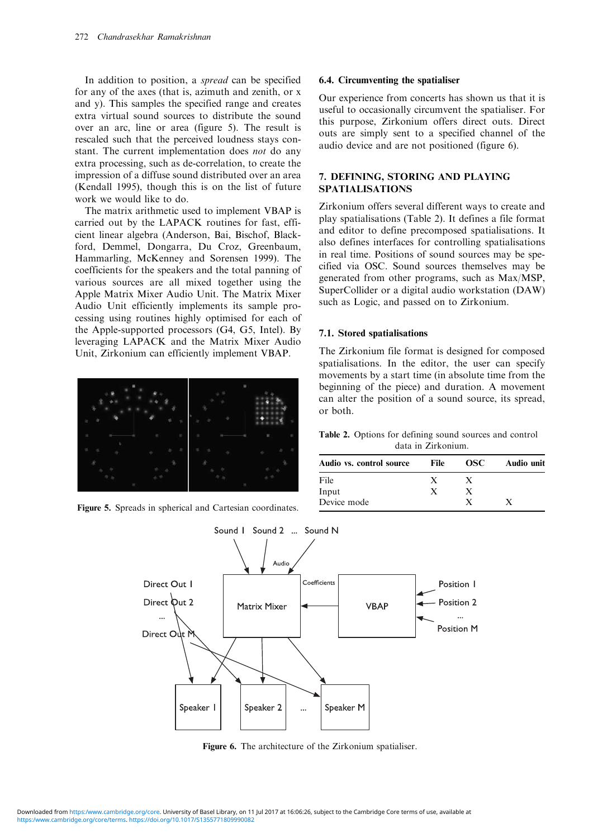In addition to position, a *spread* can be specified for any of the axes (that is, azimuth and zenith, or x and y). This samples the specified range and creates extra virtual sound sources to distribute the sound over an arc, line or area (figure 5). The result is rescaled such that the perceived loudness stays constant. The current implementation does not do any extra processing, such as de-correlation, to create the impression of a diffuse sound distributed over an area (Kendall 1995), though this is on the list of future work we would like to do.

The matrix arithmetic used to implement VBAP is carried out by the LAPACK routines for fast, efficient linear algebra (Anderson, Bai, Bischof, Blackford, Demmel, Dongarra, Du Croz, Greenbaum, Hammarling, McKenney and Sorensen 1999). The coefficients for the speakers and the total panning of various sources are all mixed together using the Apple Matrix Mixer Audio Unit. The Matrix Mixer Audio Unit efficiently implements its sample processing using routines highly optimised for each of the Apple-supported processors (G4, G5, Intel). By leveraging LAPACK and the Matrix Mixer Audio Unit, Zirkonium can efficiently implement VBAP.



Figure 5. Spreads in spherical and Cartesian coordinates.

#### 6.4. Circumventing the spatialiser

Our experience from concerts has shown us that it is useful to occasionally circumvent the spatialiser. For this purpose, Zirkonium offers direct outs. Direct outs are simply sent to a specified channel of the audio device and are not positioned (figure 6).

# 7. DEFINING, STORING AND PLAYING SPATIALISATIONS

Zirkonium offers several different ways to create and play spatialisations (Table 2). It defines a file format and editor to define precomposed spatialisations. It also defines interfaces for controlling spatialisations in real time. Positions of sound sources may be specified via OSC. Sound sources themselves may be generated from other programs, such as Max/MSP, SuperCollider or a digital audio workstation (DAW) such as Logic, and passed on to Zirkonium.

#### 7.1. Stored spatialisations

The Zirkonium file format is designed for composed spatialisations. In the editor, the user can specify movements by a start time (in absolute time from the beginning of the piece) and duration. A movement can alter the position of a sound source, its spread, or both.

Table 2. Options for defining sound sources and control data in Zirkonium.

| Audio vs. control source | File | OSC - | Audio unit |
|--------------------------|------|-------|------------|
| File                     | x    |       |            |
| Input                    | x    |       |            |
| Device mode              |      |       |            |



Figure 6. The architecture of the Zirkonium spatialiser.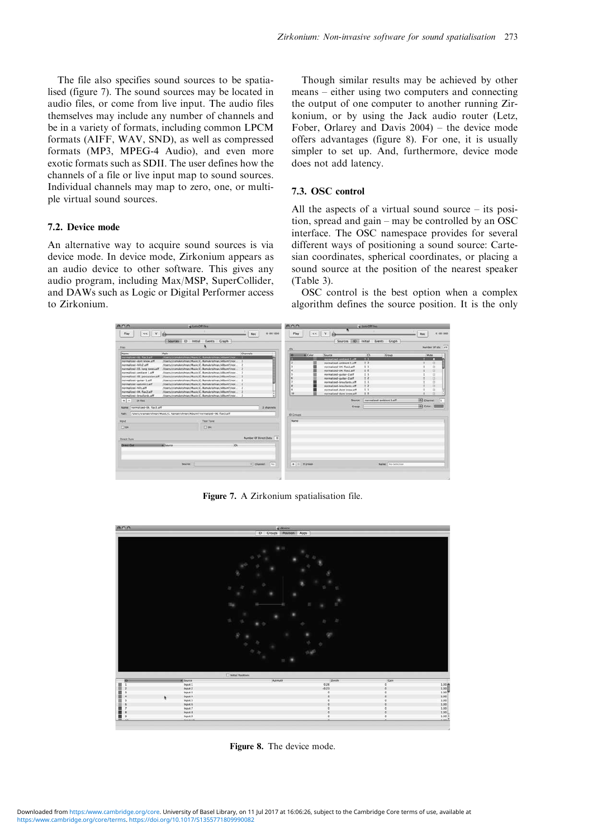The file also specifies sound sources to be spatialised (figure 7). The sound sources may be located in audio files, or come from live input. The audio files themselves may include any number of channels and be in a variety of formats, including common LPCM formats (AIFF, WAV, SND), as well as compressed formats (MP3, MPEG-4 Audio), and even more exotic formats such as SDII. The user defines how the channels of a file or live input map to sound sources. Individual channels may map to zero, one, or multiple virtual sound sources.

#### 7.2. Device mode

An alternative way to acquire sound sources is via device mode. In device mode, Zirkonium appears as an audio device to other software. This gives any audio program, including Max/MSP, SuperCollider, and DAWs such as Logic or Digital Performer access to Zirkonium.

Though similar results may be achieved by other means – either using two computers and connecting the output of one computer to another running Zirkonium, or by using the Jack audio router (Letz, Fober, Orlarey and Davis 2004) – the device mode offers advantages (figure 8). For one, it is usually simpler to set up. And, furthermore, device mode does not add latency.

# 7.3. OSC control

All the aspects of a virtual sound source – its position, spread and gain – may be controlled by an OSC interface. The OSC namespace provides for several different ways of positioning a sound source: Cartesian coordinates, spherical coordinates, or placing a sound source at the position of the nearest speaker (Table 3).

OSC control is the best option when a complex algorithm defines the source position. It is the only



Figure 7. A Zirkonium spatialisation file.



Figure 8. The device mode.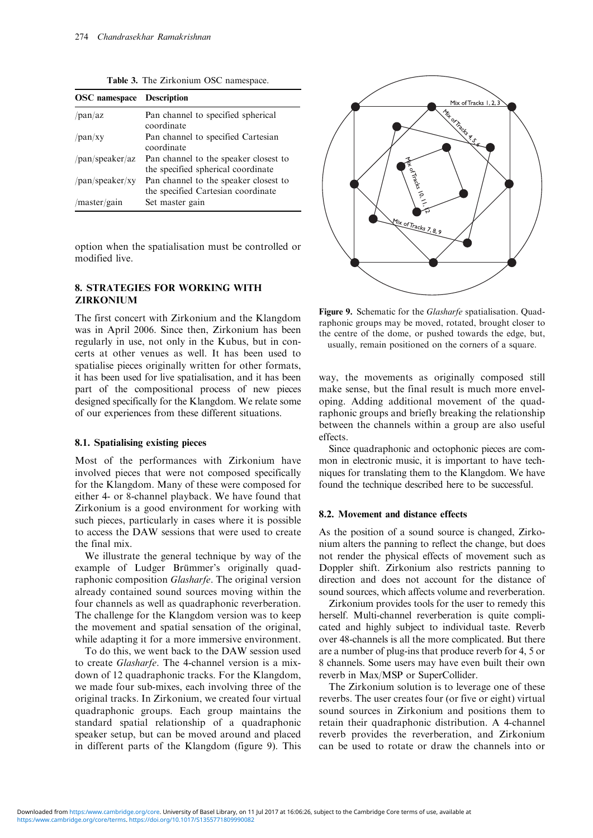| Table 3. The Zirkonium OSC namespace. |  |  |
|---------------------------------------|--|--|
|---------------------------------------|--|--|

| <b>OSC</b> namespace Description |                                                                             |
|----------------------------------|-----------------------------------------------------------------------------|
| /pan/az                          | Pan channel to specified spherical<br>coordinate                            |
| /pan/xy                          | Pan channel to specified Cartesian<br>coordinate                            |
| /pan/speaker/az                  | Pan channel to the speaker closest to<br>the specified spherical coordinate |
| /pan/speaker/xy                  | Pan channel to the speaker closest to<br>the specified Cartesian coordinate |
| /master/gain                     | Set master gain                                                             |

option when the spatialisation must be controlled or modified live.

# 8. STRATEGIES FOR WORKING WITH ZIRKONIUM

The first concert with Zirkonium and the Klangdom was in April 2006. Since then, Zirkonium has been regularly in use, not only in the Kubus, but in concerts at other venues as well. It has been used to spatialise pieces originally written for other formats, it has been used for live spatialisation, and it has been part of the compositional process of new pieces designed specifically for the Klangdom. We relate some of our experiences from these different situations.

#### 8.1. Spatialising existing pieces

Most of the performances with Zirkonium have involved pieces that were not composed specifically for the Klangdom. Many of these were composed for either 4- or 8-channel playback. We have found that Zirkonium is a good environment for working with such pieces, particularly in cases where it is possible to access the DAW sessions that were used to create the final mix.

We illustrate the general technique by way of the example of Ludger Brümmer's originally quadraphonic composition Glasharfe. The original version already contained sound sources moving within the four channels as well as quadraphonic reverberation. The challenge for the Klangdom version was to keep the movement and spatial sensation of the original, while adapting it for a more immersive environment.

To do this, we went back to the DAW session used to create Glasharfe. The 4-channel version is a mixdown of 12 quadraphonic tracks. For the Klangdom, we made four sub-mixes, each involving three of the original tracks. In Zirkonium, we created four virtual quadraphonic groups. Each group maintains the standard spatial relationship of a quadraphonic speaker setup, but can be moved around and placed in different parts of the Klangdom (figure 9). This



Figure 9. Schematic for the *Glasharfe* spatialisation. Quadraphonic groups may be moved, rotated, brought closer to the centre of the dome, or pushed towards the edge, but, usually, remain positioned on the corners of a square.

way, the movements as originally composed still make sense, but the final result is much more enveloping. Adding additional movement of the quadraphonic groups and briefly breaking the relationship between the channels within a group are also useful effects.

Since quadraphonic and octophonic pieces are common in electronic music, it is important to have techniques for translating them to the Klangdom. We have found the technique described here to be successful.

#### 8.2. Movement and distance effects

As the position of a sound source is changed, Zirkonium alters the panning to reflect the change, but does not render the physical effects of movement such as Doppler shift. Zirkonium also restricts panning to direction and does not account for the distance of sound sources, which affects volume and reverberation.

Zirkonium provides tools for the user to remedy this herself. Multi-channel reverberation is quite complicated and highly subject to individual taste. Reverb over 48-channels is all the more complicated. But there are a number of plug-ins that produce reverb for 4, 5 or 8 channels. Some users may have even built their own reverb in Max/MSP or SuperCollider.

The Zirkonium solution is to leverage one of these reverbs. The user creates four (or five or eight) virtual sound sources in Zirkonium and positions them to retain their quadraphonic distribution. A 4-channel reverb provides the reverberation, and Zirkonium can be used to rotate or draw the channels into or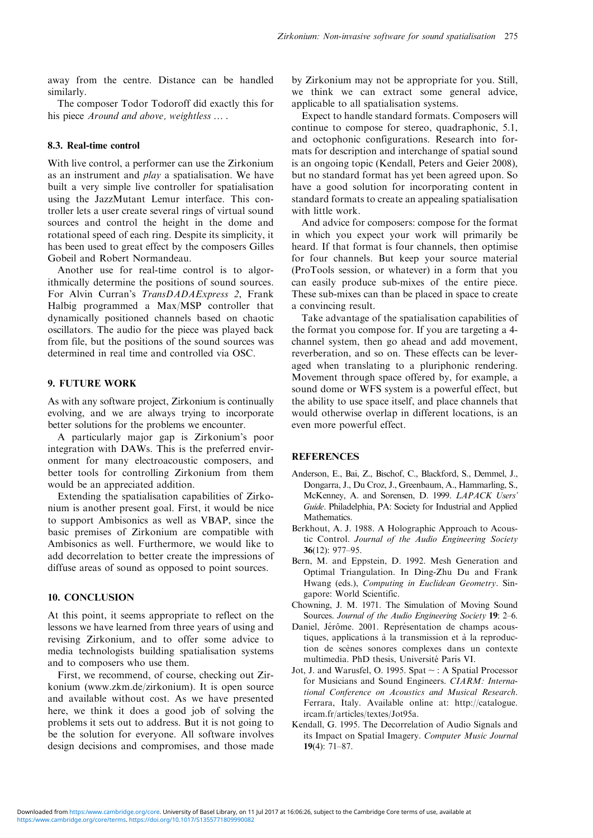away from the centre. Distance can be handled similarly.

The composer Todor Todoroff did exactly this for his piece Around and above, weightless  $\dots$ .

#### 8.3. Real-time control

With live control, a performer can use the Zirkonium as an instrument and play a spatialisation. We have built a very simple live controller for spatialisation using the JazzMutant Lemur interface. This controller lets a user create several rings of virtual sound sources and control the height in the dome and rotational speed of each ring. Despite its simplicity, it has been used to great effect by the composers Gilles Gobeil and Robert Normandeau.

Another use for real-time control is to algorithmically determine the positions of sound sources. For Alvin Curran's TransDADAExpress 2, Frank Halbig programmed a Max/MSP controller that dynamically positioned channels based on chaotic oscillators. The audio for the piece was played back from file, but the positions of the sound sources was determined in real time and controlled via OSC.

# 9. FUTURE WORK

As with any software project, Zirkonium is continually evolving, and we are always trying to incorporate better solutions for the problems we encounter.

A particularly major gap is Zirkonium's poor integration with DAWs. This is the preferred environment for many electroacoustic composers, and better tools for controlling Zirkonium from them would be an appreciated addition.

Extending the spatialisation capabilities of Zirkonium is another present goal. First, it would be nice to support Ambisonics as well as VBAP, since the basic premises of Zirkonium are compatible with Ambisonics as well. Furthermore, we would like to add decorrelation to better create the impressions of diffuse areas of sound as opposed to point sources.

#### 10. CONCLUSION

At this point, it seems appropriate to reflect on the lessons we have learned from three years of using and revising Zirkonium, and to offer some advice to media technologists building spatialisation systems and to composers who use them.

First, we recommend, of course, checking out Zirkonium (www.zkm.de/zirkonium). It is open source and available without cost. As we have presented here, we think it does a good job of solving the problems it sets out to address. But it is not going to be the solution for everyone. All software involves design decisions and compromises, and those made by Zirkonium may not be appropriate for you. Still, we think we can extract some general advice, applicable to all spatialisation systems.

Expect to handle standard formats. Composers will continue to compose for stereo, quadraphonic, 5.1, and octophonic configurations. Research into formats for description and interchange of spatial sound is an ongoing topic (Kendall, Peters and Geier 2008), but no standard format has yet been agreed upon. So have a good solution for incorporating content in standard formats to create an appealing spatialisation with little work.

And advice for composers: compose for the format in which you expect your work will primarily be heard. If that format is four channels, then optimise for four channels. But keep your source material (ProTools session, or whatever) in a form that you can easily produce sub-mixes of the entire piece. These sub-mixes can than be placed in space to create a convincing result.

Take advantage of the spatialisation capabilities of the format you compose for. If you are targeting a 4 channel system, then go ahead and add movement, reverberation, and so on. These effects can be leveraged when translating to a pluriphonic rendering. Movement through space offered by, for example, a sound dome or WFS system is a powerful effect, but the ability to use space itself, and place channels that would otherwise overlap in different locations, is an even more powerful effect.

#### **REFERENCES**

- Anderson, E., Bai, Z., Bischof, C., Blackford, S., Demmel, J., Dongarra, J., Du Croz, J., Greenbaum, A., Hammarling, S., McKenney, A. and Sorensen, D. 1999. LAPACK Users' Guide. Philadelphia, PA: Society for Industrial and Applied Mathematics.
- Berkhout, A. J. 1988. A Holographic Approach to Acoustic Control. Journal of the Audio Engineering Society 36(12): 977–95.
- Bern, M. and Eppstein, D. 1992. Mesh Generation and Optimal Triangulation. In Ding-Zhu Du and Frank Hwang (eds.), Computing in Euclidean Geometry. Singapore: World Scientific.
- Chowning, J. M. 1971. The Simulation of Moving Sound Sources. Journal of the Audio Engineering Society 19: 2–6.
- Daniel, Jérôme. 2001. Représentation de champs acoustiques, applications à la transmission et à la reproduction de scènes sonores complexes dans un contexte multimedia. PhD thesis, Université Paris VI.
- Jot, J. and Warusfel, O. 1995. Spat  $\sim$  : A Spatial Processor for Musicians and Sound Engineers. CIARM: International Conference on Acoustics and Musical Research. Ferrara, Italy. Available online at: http://catalogue. ircam.fr/articles/textes/Jot95a.
- Kendall, G. 1995. The Decorrelation of Audio Signals and its Impact on Spatial Imagery. Computer Music Journal 19(4): 71–87.